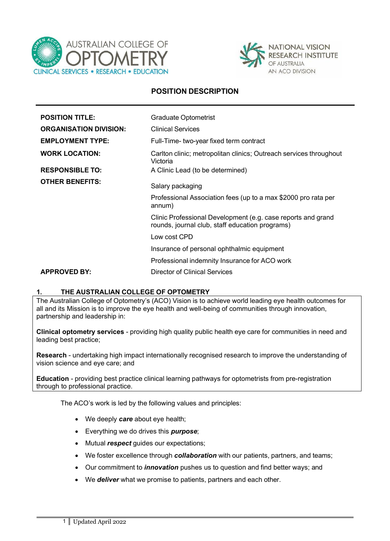



## **POSITION DESCRIPTION**

| <b>POSITION TITLE:</b>        | <b>Graduate Optometrist</b>                                                                                     |
|-------------------------------|-----------------------------------------------------------------------------------------------------------------|
| <b>ORGANISATION DIVISION:</b> | <b>Clinical Services</b>                                                                                        |
| <b>EMPLOYMENT TYPE:</b>       | Full-Time- two-year fixed term contract                                                                         |
| <b>WORK LOCATION:</b>         | Carlton clinic; metropolitan clinics; Outreach services throughout<br>Victoria                                  |
| <b>RESPONSIBLE TO:</b>        | A Clinic Lead (to be determined)                                                                                |
| <b>OTHER BENEFITS:</b>        | Salary packaging                                                                                                |
|                               | Professional Association fees (up to a max \$2000 pro rata per<br>annum)                                        |
|                               | Clinic Professional Development (e.g. case reports and grand<br>rounds, journal club, staff education programs) |
|                               | Low cost CPD                                                                                                    |
|                               | Insurance of personal ophthalmic equipment                                                                      |
|                               | Professional indemnity Insurance for ACO work                                                                   |
| <b>APPROVED BY:</b>           | Director of Clinical Services                                                                                   |

#### **1. THE AUSTRALIAN COLLEGE OF OPTOMETRY**

The Australian College of Optometry's (ACO) Vision is to achieve world leading eye health outcomes for all and its Mission is to improve the eye health and well-being of communities through innovation, partnership and leadership in:

**Clinical optometry services** - providing high quality public health eye care for communities in need and leading best practice;

**Research** - undertaking high impact internationally recognised research to improve the understanding of vision science and eye care; and

**Education** - providing best practice clinical learning pathways for optometrists from pre-registration through to professional practice.

The ACO's work is led by the following values and principles:

- We deeply *care* about eye health;
- Everything we do drives this *purpose*;
- Mutual *respect* guides our expectations;
- We foster excellence through *collaboration* with our patients, partners, and teams;
- Our commitment to *innovation* pushes us to question and find better ways; and
- We *deliver* what we promise to patients, partners and each other.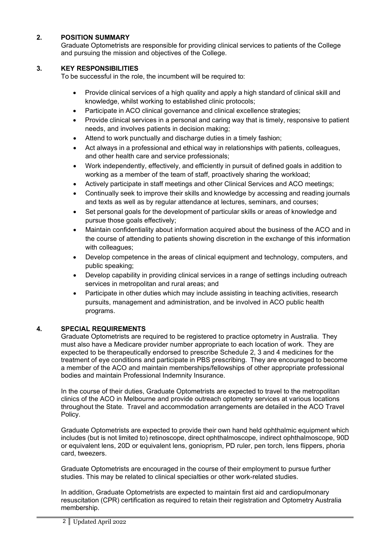## **2. POSITION SUMMARY**

Graduate Optometrists are responsible for providing clinical services to patients of the College and pursuing the mission and objectives of the College.

### **3. KEY RESPONSIBILITIES**

To be successful in the role, the incumbent will be required to:

- Provide clinical services of a high quality and apply a high standard of clinical skill and knowledge, whilst working to established clinic protocols;
- Participate in ACO clinical governance and clinical excellence strategies;
- Provide clinical services in a personal and caring way that is timely, responsive to patient needs, and involves patients in decision making;
- Attend to work punctually and discharge duties in a timely fashion;
- Act always in a professional and ethical way in relationships with patients, colleagues, and other health care and service professionals;
- Work independently, effectively, and efficiently in pursuit of defined goals in addition to working as a member of the team of staff, proactively sharing the workload;
- Actively participate in staff meetings and other Clinical Services and ACO meetings;
- Continually seek to improve their skills and knowledge by accessing and reading journals and texts as well as by regular attendance at lectures, seminars, and courses;
- Set personal goals for the development of particular skills or areas of knowledge and pursue those goals effectively;
- Maintain confidentiality about information acquired about the business of the ACO and in the course of attending to patients showing discretion in the exchange of this information with colleagues;
- Develop competence in the areas of clinical equipment and technology, computers, and public speaking;
- Develop capability in providing clinical services in a range of settings including outreach services in metropolitan and rural areas; and
- Participate in other duties which may include assisting in teaching activities, research pursuits, management and administration, and be involved in ACO public health programs.

### **4. SPECIAL REQUIREMENTS**

Graduate Optometrists are required to be registered to practice optometry in Australia. They must also have a Medicare provider number appropriate to each location of work. They are expected to be therapeutically endorsed to prescribe Schedule 2, 3 and 4 medicines for the treatment of eye conditions and participate in PBS prescribing. They are encouraged to become a member of the ACO and maintain memberships/fellowships of other appropriate professional bodies and maintain Professional Indemnity Insurance.

In the course of their duties, Graduate Optometrists are expected to travel to the metropolitan clinics of the ACO in Melbourne and provide outreach optometry services at various locations throughout the State. Travel and accommodation arrangements are detailed in the ACO Travel Policy.

Graduate Optometrists are expected to provide their own hand held ophthalmic equipment which includes (but is not limited to) retinoscope, direct ophthalmoscope, indirect ophthalmoscope, 90D or equivalent lens, 20D or equivalent lens, gonioprism, PD ruler, pen torch, lens flippers, phoria card, tweezers.

Graduate Optometrists are encouraged in the course of their employment to pursue further studies. This may be related to clinical specialties or other work-related studies.

In addition, Graduate Optometrists are expected to maintain first aid and cardiopulmonary resuscitation (CPR) certification as required to retain their registration and Optometry Australia membership.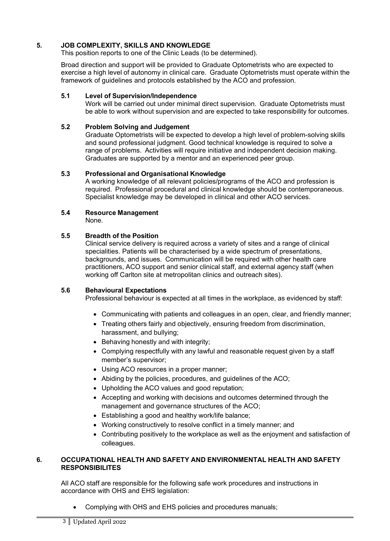## **5. JOB COMPLEXITY, SKILLS AND KNOWLEDGE**

This position reports to one of the Clinic Leads (to be determined).

Broad direction and support will be provided to Graduate Optometrists who are expected to exercise a high level of autonomy in clinical care. Graduate Optometrists must operate within the framework of guidelines and protocols established by the ACO and profession.

### **5.1 Level of Supervision/Independence**

Work will be carried out under minimal direct supervision. Graduate Optometrists must be able to work without supervision and are expected to take responsibility for outcomes.

### **5.2 Problem Solving and Judgement**

Graduate Optometrists will be expected to develop a high level of problem-solving skills and sound professional judgment. Good technical knowledge is required to solve a range of problems. Activities will require initiative and independent decision making. Graduates are supported by a mentor and an experienced peer group.

### **5.3 Professional and Organisational Knowledge**

A working knowledge of all relevant policies/programs of the ACO and profession is required. Professional procedural and clinical knowledge should be contemporaneous. Specialist knowledge may be developed in clinical and other ACO services.

## **5.4 Resource Management**

None.

### **5.5 Breadth of the Position**

Clinical service delivery is required across a variety of sites and a range of clinical specialities. Patients will be characterised by a wide spectrum of presentations, backgrounds, and issues. Communication will be required with other health care practitioners, ACO support and senior clinical staff, and external agency staff (when working off Carlton site at metropolitan clinics and outreach sites).

### **5.6 Behavioural Expectations**

Professional behaviour is expected at all times in the workplace, as evidenced by staff:

- Communicating with patients and colleagues in an open, clear, and friendly manner;
- Treating others fairly and objectively, ensuring freedom from discrimination, harassment, and bullying;
- Behaving honestly and with integrity;
- Complying respectfully with any lawful and reasonable request given by a staff member's supervisor;
- Using ACO resources in a proper manner;
- Abiding by the policies, procedures, and guidelines of the ACO;
- Upholding the ACO values and good reputation;
- Accepting and working with decisions and outcomes determined through the management and governance structures of the ACO;
- Establishing a good and healthy work/life balance;
- Working constructively to resolve conflict in a timely manner; and
- Contributing positively to the workplace as well as the enjoyment and satisfaction of colleagues.

### **6. OCCUPATIONAL HEALTH AND SAFETY AND ENVIRONMENTAL HEALTH AND SAFETY RESPONSIBILITES**

All ACO staff are responsible for the following safe work procedures and instructions in accordance with OHS and EHS legislation:

• Complying with OHS and EHS policies and procedures manuals;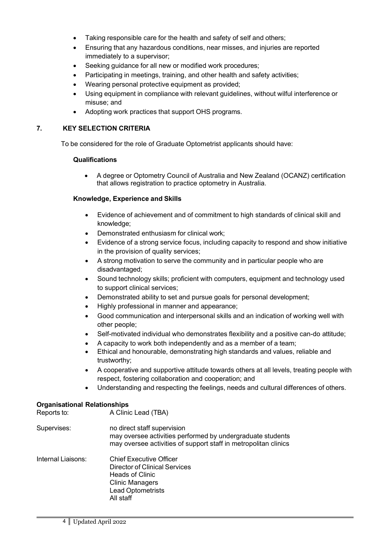- Taking responsible care for the health and safety of self and others;
- Ensuring that any hazardous conditions, near misses, and injuries are reported immediately to a supervisor;
- Seeking guidance for all new or modified work procedures;
- Participating in meetings, training, and other health and safety activities;
- Wearing personal protective equipment as provided;
- Using equipment in compliance with relevant guidelines, without wilful interference or misuse; and
- Adopting work practices that support OHS programs.

### **7. KEY SELECTION CRITERIA**

To be considered for the role of Graduate Optometrist applicants should have:

### **Qualifications**

• A degree or Optometry Council of Australia and New Zealand (OCANZ) certification that allows registration to practice optometry in Australia.

### **Knowledge, Experience and Skills**

- Evidence of achievement and of commitment to high standards of clinical skill and knowledge;
- Demonstrated enthusiasm for clinical work;
- Evidence of a strong service focus, including capacity to respond and show initiative in the provision of quality services;
- A strong motivation to serve the community and in particular people who are disadvantaged;
- Sound technology skills; proficient with computers, equipment and technology used to support clinical services;
- Demonstrated ability to set and pursue goals for personal development;
- Highly professional in manner and appearance;
- Good communication and interpersonal skills and an indication of working well with other people;
- Self-motivated individual who demonstrates flexibility and a positive can-do attitude;
- A capacity to work both independently and as a member of a team;
- Ethical and honourable, demonstrating high standards and values, reliable and trustworthy;
- A cooperative and supportive attitude towards others at all levels, treating people with respect, fostering collaboration and cooperation; and
- Understanding and respecting the feelings, needs and cultural differences of others.

### **Organisational Relationships**

| Reports to:        | A Clinic Lead (TBA)                                                                                                                                          |
|--------------------|--------------------------------------------------------------------------------------------------------------------------------------------------------------|
| Supervises:        | no direct staff supervision<br>may oversee activities performed by undergraduate students<br>may oversee activities of support staff in metropolitan clinics |
| Internal Liaisons: | <b>Chief Executive Officer</b><br>Director of Clinical Services<br><b>Heads of Clinic</b><br><b>Clinic Managers</b><br><b>Lead Optometrists</b><br>All staff |